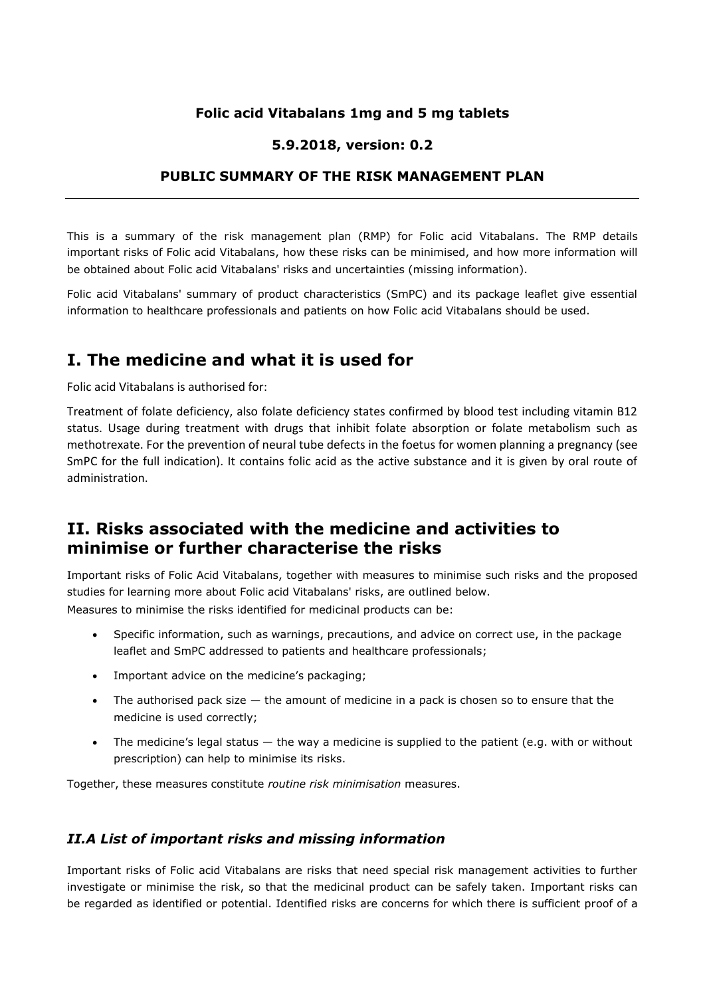### **Folic acid Vitabalans 1mg and 5 mg tablets**

#### **5.9.2018, version: 0.2**

### **PUBLIC SUMMARY OF THE RISK MANAGEMENT PLAN**

This is a summary of the risk management plan (RMP) for Folic acid Vitabalans. The RMP details important risks of Folic acid Vitabalans, how these risks can be minimised, and how more information will be obtained about Folic acid Vitabalans' risks and uncertainties (missing information).

Folic acid Vitabalans' summary of product characteristics (SmPC) and its package leaflet give essential information to healthcare professionals and patients on how Folic acid Vitabalans should be used.

## **I. The medicine and what it is used for**

Folic acid Vitabalans is authorised for:

Treatment of folate deficiency, also folate deficiency states confirmed by blood test including vitamin B12 status. Usage during treatment with drugs that inhibit folate absorption or folate metabolism such as methotrexate. For the prevention of neural tube defects in the foetus for women planning a pregnancy (see SmPC for the full indication). It contains folic acid as the active substance and it is given by oral route of administration.

# **II. Risks associated with the medicine and activities to minimise or further characterise the risks**

Important risks of Folic Acid Vitabalans, together with measures to minimise such risks and the proposed studies for learning more about Folic acid Vitabalans' risks, are outlined below.

Measures to minimise the risks identified for medicinal products can be:

- Specific information, such as warnings, precautions, and advice on correct use, in the package leaflet and SmPC addressed to patients and healthcare professionals;
- Important advice on the medicine's packaging;
- The authorised pack size  $-$  the amount of medicine in a pack is chosen so to ensure that the medicine is used correctly;
- The medicine's legal status the way a medicine is supplied to the patient (e.g. with or without prescription) can help to minimise its risks.

Together, these measures constitute *routine risk minimisation* measures.

### *II.A List of important risks and missing information*

Important risks of Folic acid Vitabalans are risks that need special risk management activities to further investigate or minimise the risk, so that the medicinal product can be safely taken. Important risks can be regarded as identified or potential. Identified risks are concerns for which there is sufficient proof of a